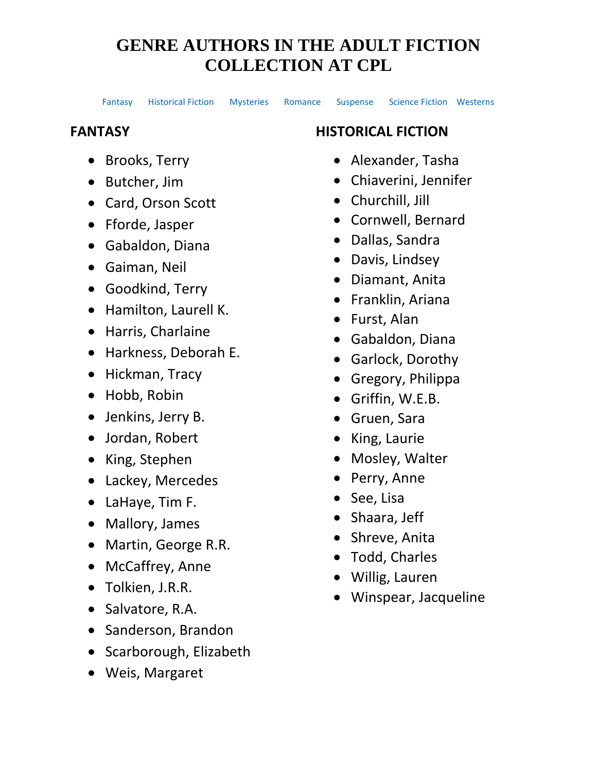[Fantasy](#page-0-0) [Historical](#page-0-1) Fiction [Mysteries](#page-1-0) [Romance](#page-2-0) [Suspense](#page-3-0) [Science Fiction](#page-2-1) [Westerns](#page-3-1)

## <span id="page-0-0"></span>**FANTASY**

- Brooks, Terry
- Butcher, Jim
- Card, Orson Scott
- Fforde, Jasper
- Gabaldon, Diana
- Gaiman, Neil
- Goodkind, Terry
- Hamilton, Laurell K.
- Harris, Charlaine
- Harkness, Deborah E.
- Hickman, Tracy
- Hobb, Robin
- Jenkins, Jerry B.
- Jordan, Robert
- King, Stephen
- Lackey, Mercedes
- LaHaye, Tim F.
- Mallory, James
- Martin, George R.R.
- McCaffrey, Anne
- Tolkien, J.R.R.
- Salvatore, R.A.
- Sanderson, Brandon
- Scarborough, Elizabeth
- Weis, Margaret

## <span id="page-0-1"></span>**HISTORICAL FICTION**

- Alexander, Tasha
- Chiaverini, Jennifer
- Churchill, Jill
- Cornwell, Bernard
- Dallas, Sandra
- Davis, Lindsey
- Diamant, Anita
- Franklin, Ariana
- Furst, Alan
- Gabaldon, Diana
- Garlock, Dorothy
- Gregory, Philippa
- Griffin, W.E.B.
- Gruen, Sara
- King, Laurie
- Mosley, Walter
- Perry, Anne
- See, Lisa
- Shaara, Jeff
- Shreve, Anita
- Todd, Charles
- Willig, Lauren
- Winspear, Jacqueline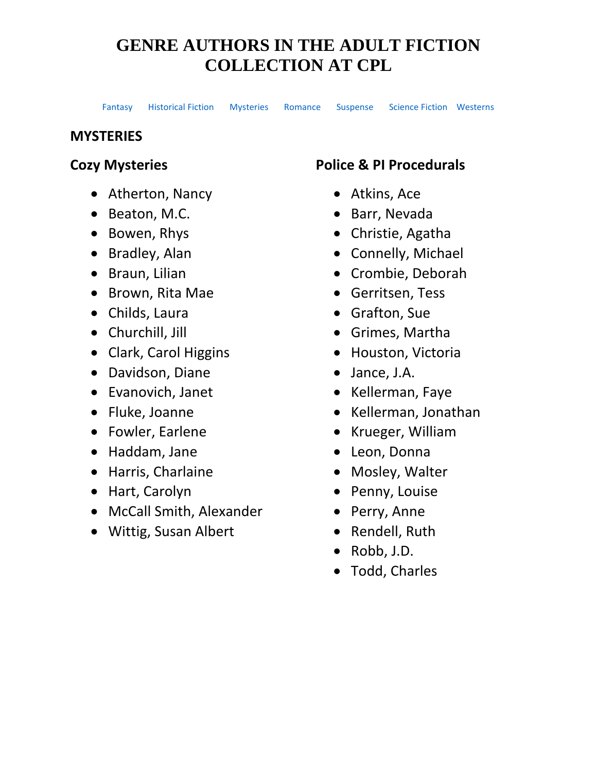[Fantasy](#page-0-0) [Historical](#page-0-1) Fiction [Mysteries](#page-1-0) [Romance](#page-2-0) [Suspense](#page-3-0) [Science Fiction](#page-2-1) [Westerns](#page-3-1)

#### <span id="page-1-0"></span>**MYSTERIES**

### **Cozy Mysteries**

- Atherton, Nancy
- Beaton, M.C.
- Bowen, Rhys
- Bradley, Alan
- Braun, Lilian
- Brown, Rita Mae
- Childs, Laura
- Churchill, Jill
- Clark, Carol Higgins
- Davidson, Diane
- Evanovich, Janet
- Fluke, Joanne
- Fowler, Earlene
- Haddam, Jane
- Harris, Charlaine
- Hart, Carolyn
- McCall Smith, Alexander
- Wittig, Susan Albert

### **Police & PI Procedurals**

- Atkins, Ace
- Barr, Nevada
- Christie, Agatha
- Connelly, Michael
- Crombie, Deborah
- Gerritsen, Tess
- Grafton, Sue
- Grimes, Martha
- Houston, Victoria
- Jance, J.A.
- Kellerman, Faye
- Kellerman, Jonathan
- Krueger, William
- Leon, Donna
- Mosley, Walter
- Penny, Louise
- Perry, Anne
- Rendell, Ruth
- Robb, J.D.
- Todd, Charles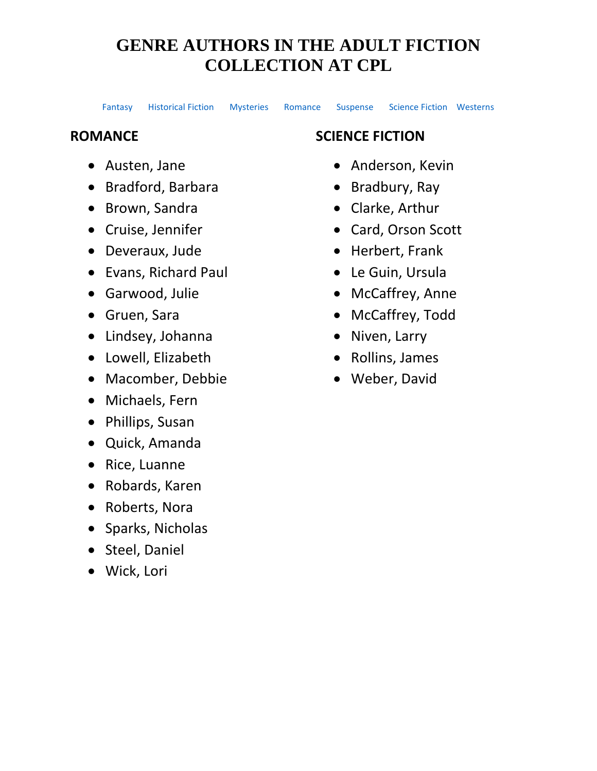[Fantasy](#page-0-0) [Historical](#page-0-1) Fiction [Mysteries](#page-1-0) [Romance](#page-2-0) [Suspense](#page-3-0) [Science Fiction](#page-2-1) [Westerns](#page-3-1)

#### <span id="page-2-0"></span>**ROMANCE**

- Austen, Jane
- Bradford, Barbara
- Brown, Sandra
- Cruise, Jennifer
- Deveraux, Jude
- Evans, Richard Paul
- Garwood, Julie
- Gruen, Sara
- Lindsey, Johanna
- Lowell, Elizabeth
- Macomber, Debbie
- Michaels, Fern
- Phillips, Susan
- Quick, Amanda
- Rice, Luanne
- Robards, Karen
- Roberts, Nora
- Sparks, Nicholas
- Steel, Daniel
- Wick, Lori

### <span id="page-2-1"></span>**SCIENCE FICTION**

- Anderson, Kevin
- Bradbury, Ray
- Clarke, Arthur
- Card, Orson Scott
- Herbert, Frank
- Le Guin, Ursula
- McCaffrey, Anne
- McCaffrey, Todd
- Niven, Larry
- Rollins, James
- Weber, David